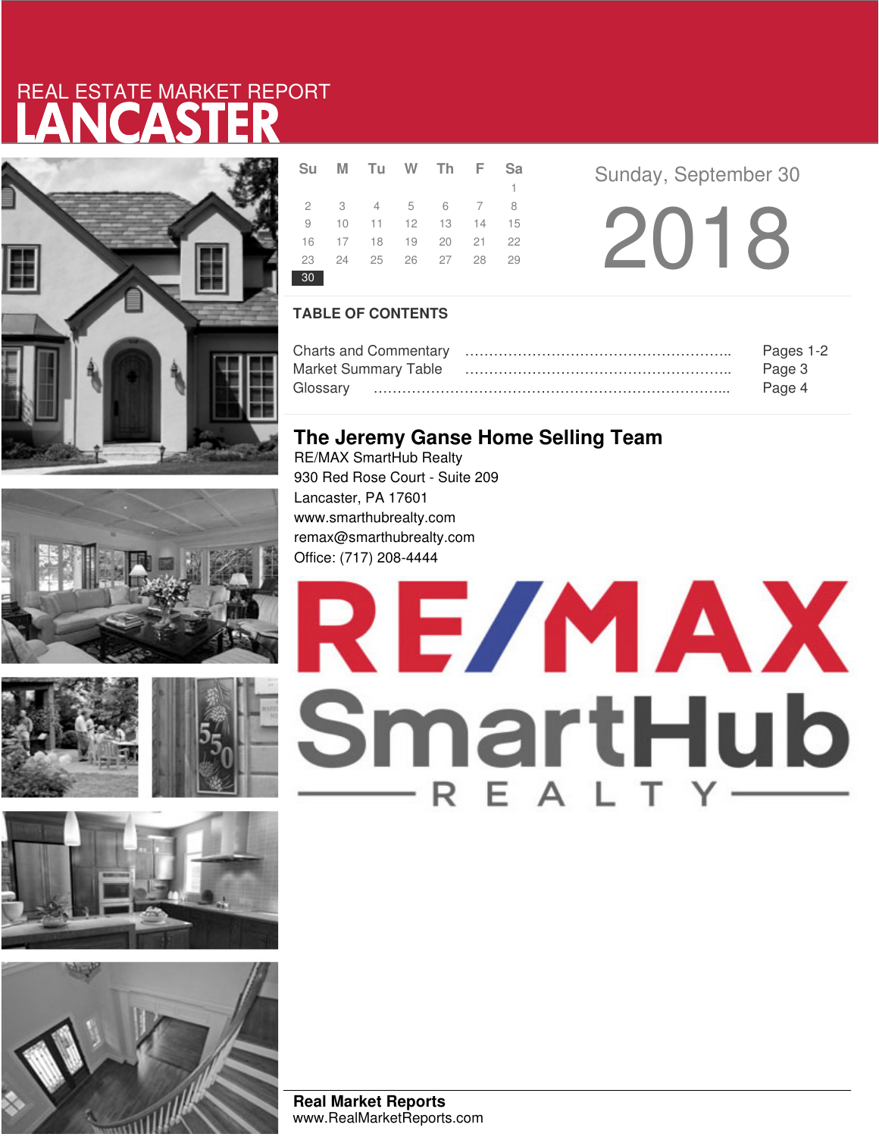# LANCASTER REAL ESTATE MARKET REPORT







|    | Su M Tu W Th F Sa    |  |              |  |
|----|----------------------|--|--------------|--|
|    |                      |  | $\mathbf{1}$ |  |
|    | 2 3 4 5 6 7 8        |  |              |  |
|    | 9 10 11 12 13 14 15  |  |              |  |
|    | 16 17 18 19 20 21 22 |  |              |  |
|    | 23 24 25 26 27 28 29 |  |              |  |
| 30 |                      |  |              |  |

**Sunday, September 30** 

2018

### **TABLE OF CONTENTS**

|                             | Pages 1-2 |
|-----------------------------|-----------|
| <b>Market Summary Table</b> | Page 3    |
|                             | Page 4    |

### **The Jeremy Ganse Home Selling Team**

RE/MAX SmartHub Realty 930 Red Rose Court - Suite 209 Lancaster, PA 17601 www.smarthubrealty.com remax@smarthubrealty.com Office: (717) 208-4444



**Real Market Reports** www.RealMarketReports.com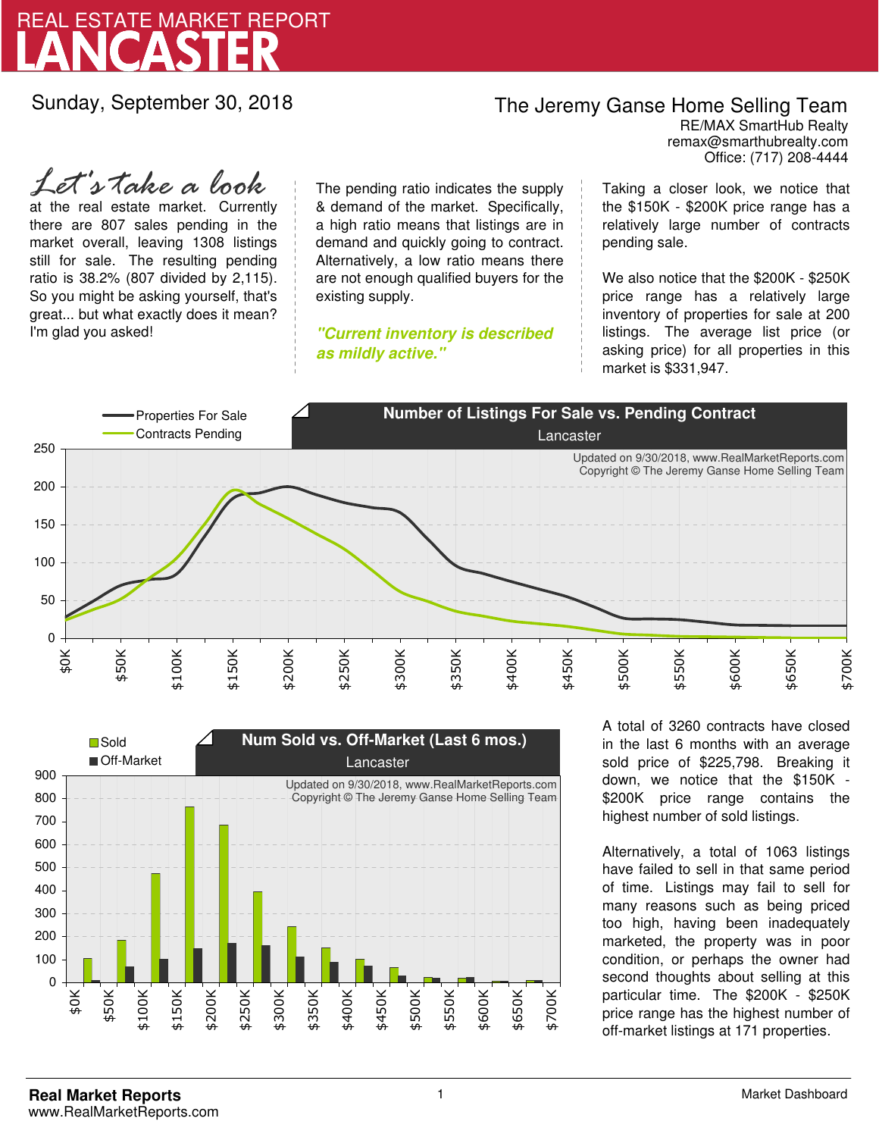

Sunday, September 30, 2018

### The Jeremy Ganse Home Selling Team

remax@smarthubrealty.com RE/MAX SmartHub Realty Office: (717) 208-4444

at the real estate market. Currently there are 807 sales pending in the market overall, leaving 1308 listings still for sale. The resulting pending ratio is 38.2% (807 divided by 2,115). So you might be asking yourself, that's great... but what exactly does it mean? I'm glad you asked! *Let's take a look*

The pending ratio indicates the supply & demand of the market. Specifically, a high ratio means that listings are in demand and quickly going to contract. Alternatively, a low ratio means there are not enough qualified buyers for the existing supply.

**"Current inventory is described as mildly active."**

Taking a closer look, we notice that the \$150K - \$200K price range has a relatively large number of contracts pending sale.

We also notice that the \$200K - \$250K price range has a relatively large inventory of properties for sale at 200 listings. The average list price (or asking price) for all properties in this market is \$331,947.





A total of 3260 contracts have closed in the last 6 months with an average sold price of \$225,798. Breaking it down, we notice that the \$150K - \$200K price range contains the highest number of sold listings.

Alternatively, a total of 1063 listings have failed to sell in that same period of time. Listings may fail to sell for many reasons such as being priced too high, having been inadequately marketed, the property was in poor condition, or perhaps the owner had second thoughts about selling at this particular time. The \$200K - \$250K price range has the highest number of off-market listings at 171 properties.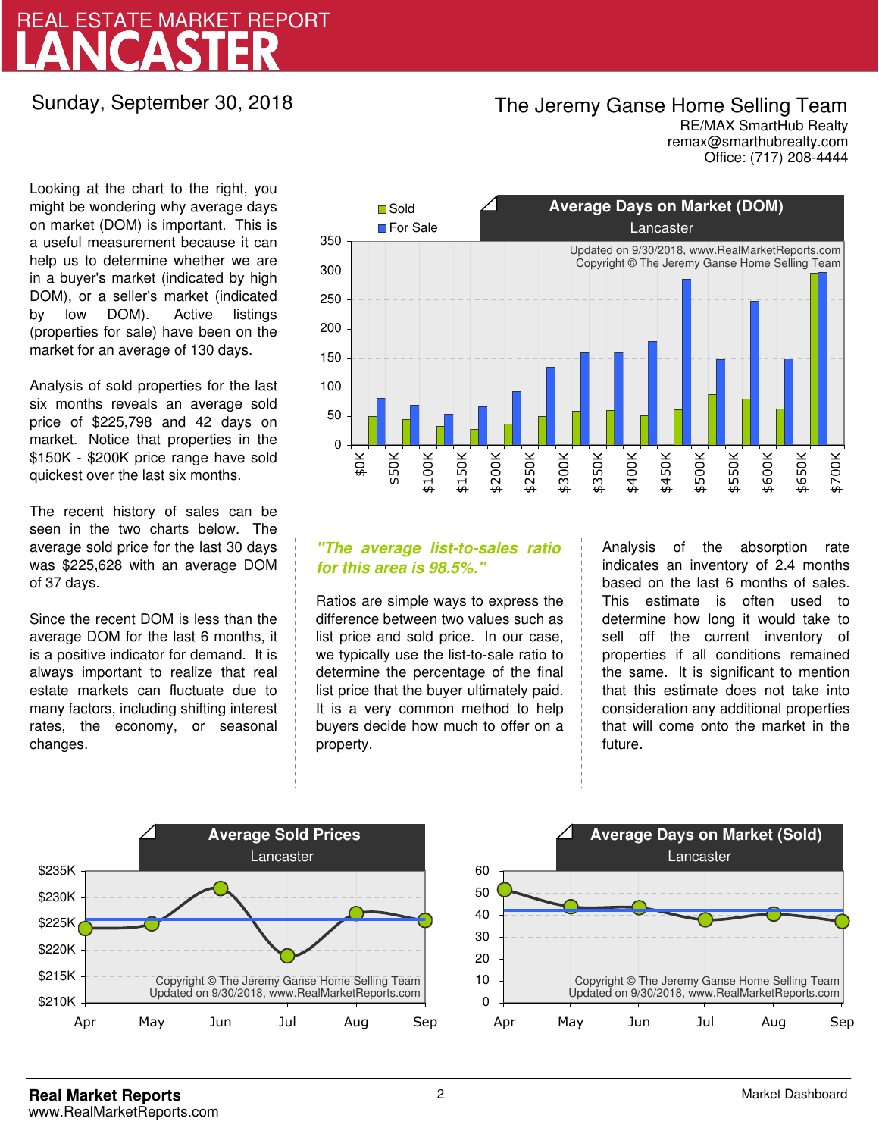## LANCASTER REAL ESTATE MARKET REPORT

Sunday, September 30, 2018

## The Jeremy Ganse Home Selling Team

remax@smarthubrealty.com RE/MAX SmartHub Realty Office: (717) 208-4444

Looking at the chart to the right, you might be wondering why average days on market (DOM) is important. This is a useful measurement because it can help us to determine whether we are in a buyer's market (indicated by high DOM), or a seller's market (indicated by low DOM). Active listings (properties for sale) have been on the market for an average of 130 days.

Analysis of sold properties for the last six months reveals an average sold price of \$225,798 and 42 days on market. Notice that properties in the \$150K - \$200K price range have sold quickest over the last six months.

The recent history of sales can be seen in the two charts below. The average sold price for the last 30 days was \$225,628 with an average DOM of 37 days.

Since the recent DOM is less than the average DOM for the last 6 months, it is a positive indicator for demand. It is always important to realize that real estate markets can fluctuate due to many factors, including shifting interest rates, the economy, or seasonal changes.



### **"The average list-to-sales ratio for this area is 98.5%."**

Ratios are simple ways to express the difference between two values such as list price and sold price. In our case, we typically use the list-to-sale ratio to determine the percentage of the final list price that the buyer ultimately paid. It is a very common method to help buyers decide how much to offer on a property.

Analysis of the absorption rate indicates an inventory of 2.4 months based on the last 6 months of sales. This estimate is often used to determine how long it would take to sell off the current inventory of properties if all conditions remained the same. It is significant to mention that this estimate does not take into consideration any additional properties that will come onto the market in the future.



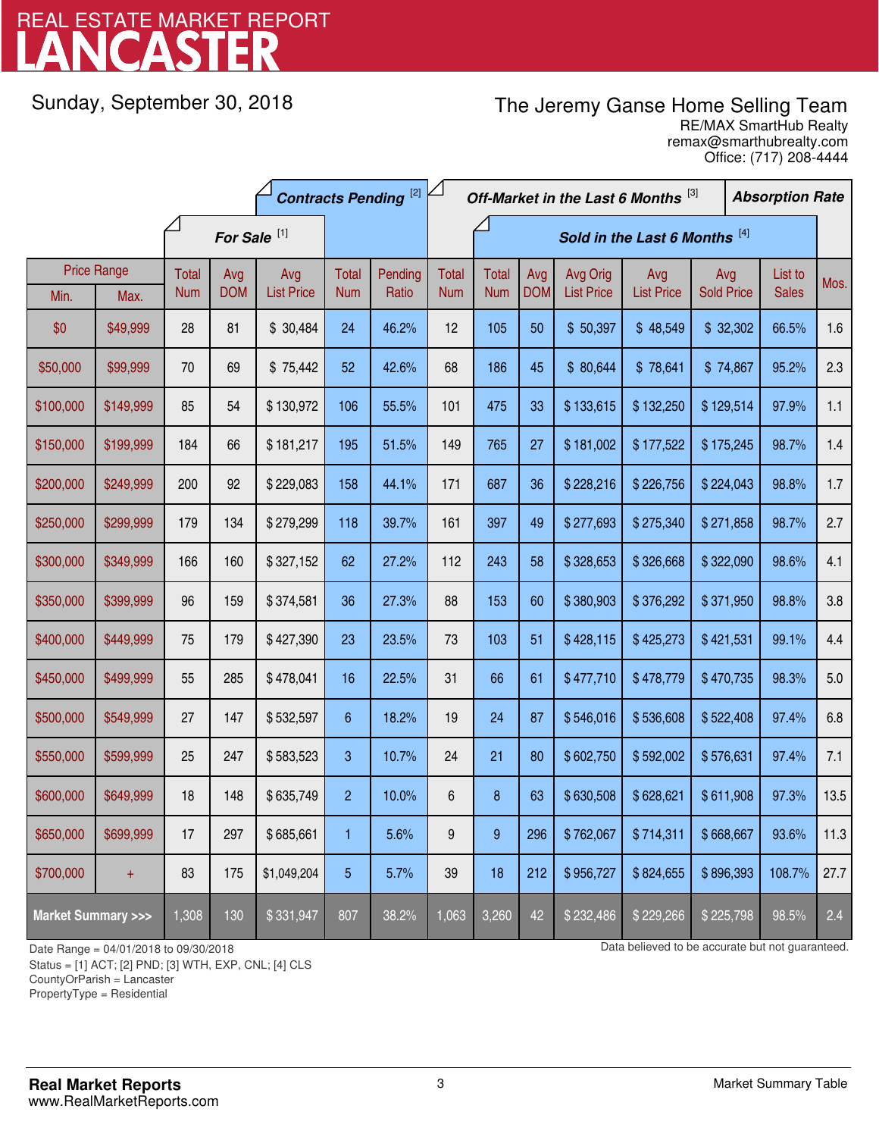# LANCASTER REAL ESTATE MARKET REPORT

Sunday, September 30, 2018

## The Jeremy Ganse Home Selling Team

remax@smarthubrealty.com RE/MAX SmartHub Realty Office: (717) 208-4444

| <b>Contracts Pending [2]</b>       |                    |              |                         |                   | Off-Market in the Last 6 Months [3]<br><b>Absorption Rate</b> |         |              |              |                               |                   |                   |                   |  |              |      |
|------------------------------------|--------------------|--------------|-------------------------|-------------------|---------------------------------------------------------------|---------|--------------|--------------|-------------------------------|-------------------|-------------------|-------------------|--|--------------|------|
|                                    |                    |              | For Sale <sup>[1]</sup> |                   |                                                               |         |              |              | Sold in the Last 6 Months [4] |                   |                   |                   |  |              |      |
|                                    | <b>Price Range</b> | <b>Total</b> | Avg                     | Avg               | Total                                                         | Pending | <b>Total</b> | <b>Total</b> | Avg                           | Avg Orig          | Avg               | Avg               |  | List to      | Mos. |
| Min.                               | Max.               | <b>Num</b>   | <b>DOM</b>              | <b>List Price</b> | <b>Num</b>                                                    | Ratio   | <b>Num</b>   | <b>Num</b>   | <b>DOM</b>                    | <b>List Price</b> | <b>List Price</b> | <b>Sold Price</b> |  | <b>Sales</b> |      |
| \$0                                | \$49,999           | 28           | 81                      | \$30,484          | 24                                                            | 46.2%   | 12           | 105          | 50                            | \$50,397          | \$48,549          | \$32,302          |  | 66.5%        | 1.6  |
| \$50,000                           | \$99,999           | 70           | 69                      | \$75,442          | 52                                                            | 42.6%   | 68           | 186          | 45                            | \$80,644          | \$78,641          | \$74,867          |  | 95.2%        | 2.3  |
| \$100,000                          | \$149,999          | 85           | 54                      | \$130,972         | 106                                                           | 55.5%   | 101          | 475          | 33                            | \$133,615         | \$132,250         | \$129,514         |  | 97.9%        | 1.1  |
| \$150,000                          | \$199,999          | 184          | 66                      | \$181,217         | 195                                                           | 51.5%   | 149          | 765          | 27                            | \$181,002         | \$177,522         | \$175,245         |  | 98.7%        | 1.4  |
| \$200,000                          | \$249,999          | 200          | 92                      | \$229,083         | 158                                                           | 44.1%   | 171          | 687          | 36                            | \$228,216         | \$226,756         | \$224,043         |  | 98.8%        | 1.7  |
| \$250,000                          | \$299,999          | 179          | 134                     | \$279,299         | 118                                                           | 39.7%   | 161          | 397          | 49                            | \$277,693         | \$275,340         | \$271,858         |  | 98.7%        | 2.7  |
| \$300,000                          | \$349,999          | 166          | 160                     | \$327,152         | 62                                                            | 27.2%   | 112          | 243          | 58                            | \$328,653         | \$326,668         | \$322,090         |  | 98.6%        | 4.1  |
| \$350,000                          | \$399,999          | 96           | 159                     | \$374,581         | 36                                                            | 27.3%   | 88           | 153          | 60                            | \$380,903         | \$376,292         | \$371,950         |  | 98.8%        | 3.8  |
| \$400,000                          | \$449,999          | 75           | 179                     | \$427,390         | 23                                                            | 23.5%   | 73           | 103          | 51                            | \$428,115         | \$425,273         | \$421,531         |  | 99.1%        | 4.4  |
| \$450,000                          | \$499,999          | 55           | 285                     | \$478,041         | 16                                                            | 22.5%   | 31           | 66           | 61                            | \$477,710         | \$478,779         | \$470,735         |  | 98.3%        | 5.0  |
| \$500,000                          | \$549,999          | 27           | 147                     | \$532,597         | 6                                                             | 18.2%   | 19           | 24           | 87                            | \$546,016         | \$536,608         | \$522,408         |  | 97.4%        | 6.8  |
| \$550,000                          | \$599,999          | 25           | 247                     | \$583,523         | 3                                                             | 10.7%   | 24           | 21           | 80                            | \$602,750         | \$592,002         | \$576,631         |  | 97.4%        | 7.1  |
| \$600,000                          | \$649,999          | 18           | 148                     | \$635,749         | $\overline{2}$                                                | 10.0%   | $\,6$        | $\bf 8$      | 63                            | \$630,508         | \$628,621         | \$611,908         |  | 97.3%        | 13.5 |
| \$650,000                          | \$699,999          | 17           | 297                     | \$685,661         | 1                                                             | 5.6%    | 9            | 9            | 296                           | \$762,067         | \$714,311         | \$668,667         |  | 93.6%        | 11.3 |
| \$700,000                          | $+$                | 83           | 175                     | \$1,049,204       | 5                                                             | 5.7%    | 39           | 18           | 212                           | \$956,727         | \$824,655         | \$896,393         |  | 108.7%       | 27.7 |
| <b>Market Summary &gt;&gt;&gt;</b> |                    | 1,308        | 130                     | \$331,947         | 807                                                           | 38.2%   | 1,063        | 3,260        | 42                            | \$232,486         | \$229,266         | \$225,798         |  | 98.5%        | 2.4  |

Status = [1] ACT; [2] PND; [3] WTH, EXP, CNL; [4] CLS

CountyOrParish = Lancaster

PropertyType = Residential

-

Date Range = 04/01/2018 to 09/30/2018 000/30/2018 Data believed to be accurate but not guaranteed.